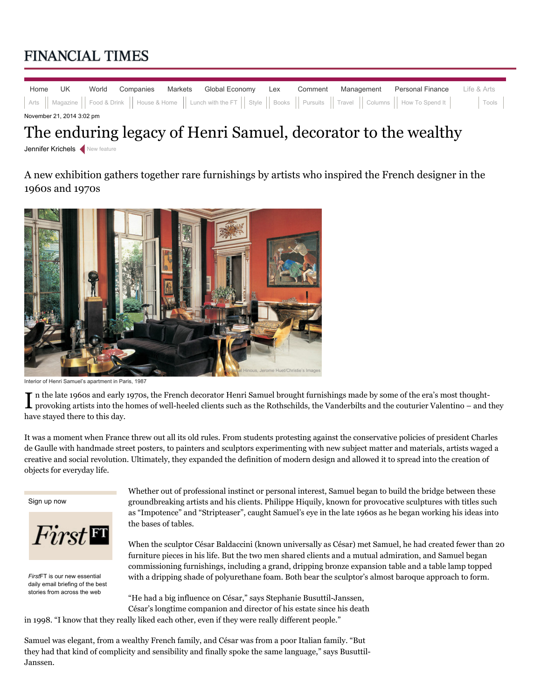## **FINANCIAL TIMES**

|                           | Home UK |  |  |  | <b>World Companies Markets Global Economy Lex Comment Management Personal Finance</b> Life & Arts                                                         |  |  |  |  |  |
|---------------------------|---------|--|--|--|-----------------------------------------------------------------------------------------------------------------------------------------------------------|--|--|--|--|--|
|                           |         |  |  |  | Arts    Magazine    Food & Drink    House & Home    Lunch with the FT    Style    Books    Pursuits    Travel    Columns    How To Spend It         Tools |  |  |  |  |  |
| November 21, 2014 3:02 pm |         |  |  |  |                                                                                                                                                           |  |  |  |  |  |

## The enduring legacy of Henri Samuel, decorator to the wealthy

Jennifer Krichels < New feature

A new exhibition gathers together rare furnishings by artists who inspired the French designer in the 1960s and 1970s



Interior of Henri Samuel's apartment in Paris, 1987

In the late 1960s and early 1970s, the French decorator Henri Samuel brought furnishings made by some of the era's most thought-<br>I provoking artists into the homes of well-heeled clients such as the Rothschilds, the Vander provoking artists into the homes of well-heeled clients such as the Rothschilds, the Vanderbilts and the couturier Valentino – and they have stayed there to this day.

It was a moment when France threw out all its old rules. From students protesting against the conservative policies of president Charles de Gaulle with handmade street posters, to painters and sculptors experimenting with new subject matter and materials, artists waged a creative and social revolution. Ultimately, they expanded the definition of modern design and allowed it to spread into the creation of objects for everyday life.

Sign up now

 $First$ 

*First*FT is our new essential daily email briefing of the best stories from across the web

Whether out of professional instinct or personal interest, Samuel began to build the bridge between these groundbreaking artists and his clients. Philippe Hiquily, known for provocative sculptures with titles such as "Impotence" and "Stripteaser", caught Samuel's eye in the late 1960s as he began working his ideas into the bases of tables.

When the sculptor César Baldaccini (known universally as César) met Samuel, he had created fewer than 20 furniture pieces in his life. But the two men shared clients and a mutual admiration, and Samuel began commissioning furnishings, including a grand, dripping bronze expansion table and a table lamp topped with a dripping shade of polyurethane foam. Both bear the sculptor's almost baroque approach to form.

"He had a big influence on César," says Stephanie Busuttil-Janssen, César's longtime companion and director of his estate since his death

in 1998. "I know that they really liked each other, even if they were really different people."

Samuel was elegant, from a wealthy French family, and César was from a poor Italian family. "But they had that kind of complicity and sensibility and finally spoke the same language," says Busuttil-Janssen.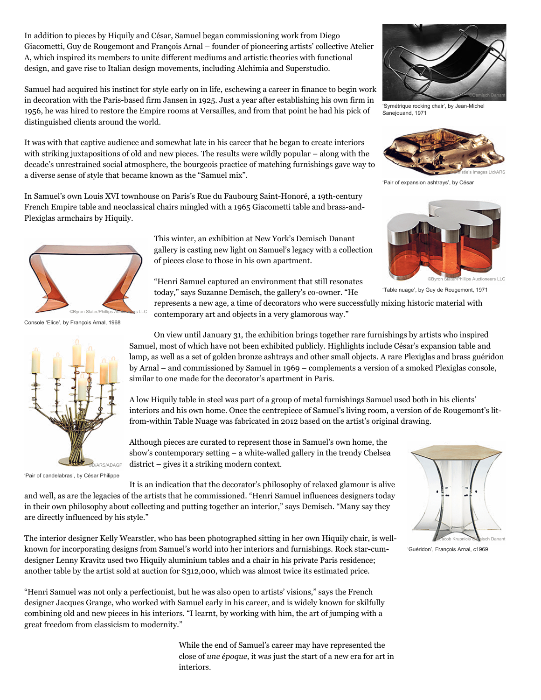In addition to pieces by Hiquily and César, Samuel began commissioning work from Diego Giacometti, Guy de Rougemont and François Arnal – founder of pioneering artists' collective Atelier A, which inspired its members to unite different mediums and artistic theories with functional design, and gave rise to Italian design movements, including Alchimia and Superstudio.

Samuel had acquired his instinct for style early on in life, eschewing a career in finance to begin work in decoration with the Paris-based firm Jansen in 1925. Just a year after establishing his own firm in 1956, he was hired to restore the Empire rooms at Versailles, and from that point he had his pick of distinguished clients around the world.

It was with that captive audience and somewhat late in his career that he began to create interiors with striking juxtapositions of old and new pieces. The results were wildly popular – along with the decade's unrestrained social atmosphere, the bourgeois practice of matching furnishings gave way to a diverse sense of style that became known as the "Samuel mix".

In Samuel's own Louis XVI townhouse on Paris's Rue du Faubourg Saint-Honoré, a 19th-century French Empire table and neoclassical chairs mingled with a 1965 Giacometti table and brass-and-Plexiglas armchairs by Hiquily.

> This winter, an exhibition at New York's Demisch Danant gallery is casting new light on Samuel's legacy with a collection of pieces close to those in his own apartment.

"Henri Samuel captured an environment that still resonates today," says Suzanne Demisch, the gallery's co-owner. "He

represents a new age, a time of decorators who were successfully mixing historic material with contemporary art and objects in a very glamorous way."

On view until January 31, the exhibition brings together rare furnishings by artists who inspired Samuel, most of which have not been exhibited publicly. Highlights include César's expansion table and lamp, as well as a set of golden bronze ashtrays and other small objects. A rare Plexiglas and brass guéridon by Arnal – and commissioned by Samuel in 1969 – complements a version of a smoked Plexiglas console, similar to one made for the decorator's apartment in Paris.

A low Hiquily table in steel was part of a group of metal furnishings Samuel used both in his clients' interiors and his own home. Once the centrepiece of Samuel's living room, a version of de Rougemont's litfrom-within Table Nuage was fabricated in 2012 based on the artist's original drawing.

Although pieces are curated to represent those in Samuel's own home, the show's contemporary setting – a white-walled gallery in the trendy Chelsea district – gives it a striking modern context.

It is an indication that the decorator's philosophy of relaxed glamour is alive and well, as are the legacies of the artists that he commissioned. "Henri Samuel influences designers today in their own philosophy about collecting and putting together an interior," says Demisch. "Many say they are directly influenced by his style."

The interior designer Kelly Wearstler, who has been photographed sitting in her own Hiquily chair, is wellknown for incorporating designs from Samuel's world into her interiors and furnishings. Rock star-cumdesigner Lenny Kravitz used two Hiquily aluminium tables and a chair in his private Paris residence; another table by the artist sold at auction for \$312,000, which was almost twice its estimated price.

"Henri Samuel was not only a perfectionist, but he was also open to artists' visions," says the French designer Jacques Grange, who worked with Samuel early in his career, and is widely known for skilfully combining old and new pieces in his interiors. "I learnt, by working with him, the art of jumping with a great freedom from classicism to modernity."

> While the end of Samuel's career may have represented the close of *une époque*, it was just the start of a new era for art in interiors.



'Pair of candelabras', by César Philippe







'Table nuage', by Guy de Rougemont, 1971



'Symétrique rocking chair', by Jean-Michel Sanejouand, 1971



'Pair of expansion ashtrays', by César